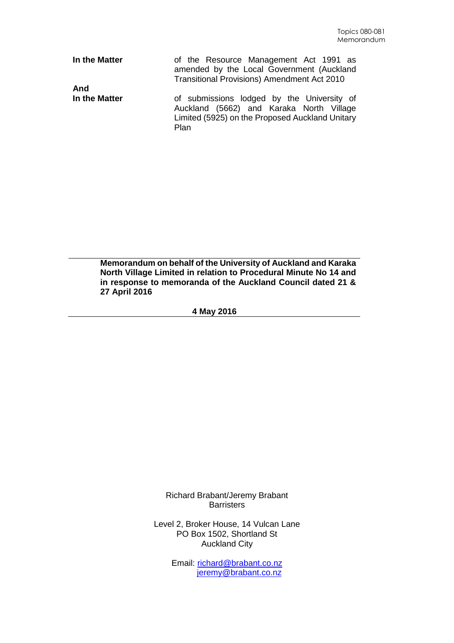| In the Matter        | of the Resource Management Act 1991 as<br>amended by the Local Government (Auckland<br><b>Transitional Provisions) Amendment Act 2010</b>                |
|----------------------|----------------------------------------------------------------------------------------------------------------------------------------------------------|
| And<br>In the Matter | of submissions lodged by the University of<br>Auckland (5662) and Karaka North Village<br>Limited (5925) on the Proposed Auckland Unitary<br><b>Plan</b> |

**Memorandum on behalf of the University of Auckland and Karaka North Village Limited in relation to Procedural Minute No 14 and in response to memoranda of the Auckland Council dated 21 & 27 April 2016**

**4 May 2016**

Richard Brabant/Jeremy Brabant **Barristers** 

Level 2, Broker House, 14 Vulcan Lane PO Box 1502, Shortland St Auckland City

> Email: [richard@brabant.co.nz](mailto:richard@brabant.co.nz) [jeremy@brabant.co.nz](mailto:jeremy@brabant.co.nz)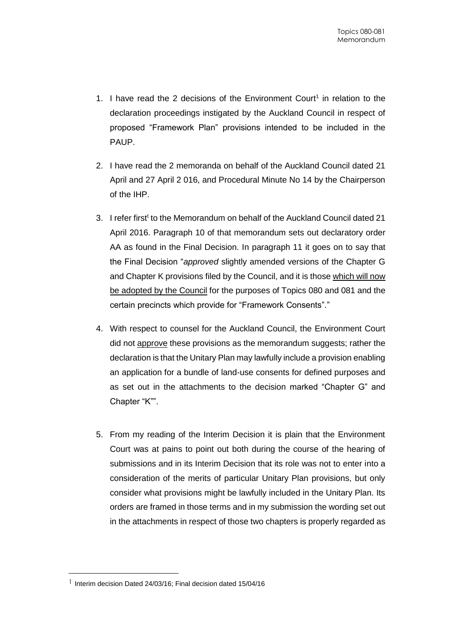- 1. I have read the 2 decisions of the Environment Court<sup>1</sup> in relation to the declaration proceedings instigated by the Auckland Council in respect of proposed "Framework Plan" provisions intended to be included in the PAUP.
- 2. I have read the 2 memoranda on behalf of the Auckland Council dated 21 April and 27 April 2 016, and Procedural Minute No 14 by the Chairperson of the IHP.
- 3. I refer first<sup>t</sup> to the Memorandum on behalf of the Auckland Council dated 21 April 2016. Paragraph 10 of that memorandum sets out declaratory order AA as found in the Final Decision. In paragraph 11 it goes on to say that the Final Decision "*approved* slightly amended versions of the Chapter G and Chapter K provisions filed by the Council, and it is those which will now be adopted by the Council for the purposes of Topics 080 and 081 and the certain precincts which provide for "Framework Consents"."
- 4. With respect to counsel for the Auckland Council, the Environment Court did not approve these provisions as the memorandum suggests; rather the declaration is that the Unitary Plan may lawfully include a provision enabling an application for a bundle of land-use consents for defined purposes and as set out in the attachments to the decision marked "Chapter G" and Chapter "K"".
- 5. From my reading of the Interim Decision it is plain that the Environment Court was at pains to point out both during the course of the hearing of submissions and in its Interim Decision that its role was not to enter into a consideration of the merits of particular Unitary Plan provisions, but only consider what provisions might be lawfully included in the Unitary Plan. Its orders are framed in those terms and in my submission the wording set out in the attachments in respect of those two chapters is properly regarded as

 $\overline{a}$ 

<sup>&</sup>lt;sup>1</sup> Interim decision Dated 24/03/16; Final decision dated 15/04/16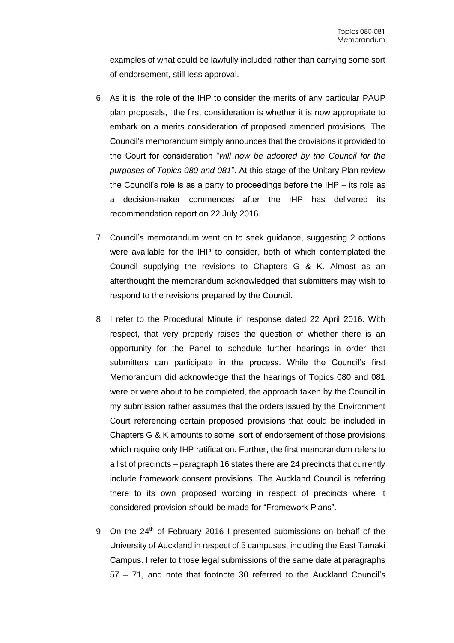examples of what could be lawfully included rather than carrying some sort of endorsement, still less approval.

- 6. As it is the role of the IHP to consider the merits of any particular PAUP plan proposals, the first consideration is whether it is now appropriate to embark on a merits consideration of proposed amended provisions. The Council's memorandum simply announces that the provisions it provided to the Court for consideration "*will now be adopted by the Council for the purposes of Topics 080 and 081*". At this stage of the Unitary Plan review the Council's role is as a party to proceedings before the IHP – its role as a decision-maker commences after the IHP has delivered its recommendation report on 22 July 2016.
- 7. Council's memorandum went on to seek guidance, suggesting 2 options were available for the IHP to consider, both of which contemplated the Council supplying the revisions to Chapters G & K. Almost as an afterthought the memorandum acknowledged that submitters may wish to respond to the revisions prepared by the Council.
- 8. I refer to the Procedural Minute in response dated 22 April 2016. With respect, that very properly raises the question of whether there is an opportunity for the Panel to schedule further hearings in order that submitters can participate in the process. While the Council's first Memorandum did acknowledge that the hearings of Topics 080 and 081 were or were about to be completed, the approach taken by the Council in my submission rather assumes that the orders issued by the Environment Court referencing certain proposed provisions that could be included in Chapters G & K amounts to some sort of endorsement of those provisions which require only IHP ratification. Further, the first memorandum refers to a list of precincts – paragraph 16 states there are 24 precincts that currently include framework consent provisions. The Auckland Council is referring there to its own proposed wording in respect of precincts where it considered provision should be made for "Framework Plans".
- 9. On the  $24<sup>th</sup>$  of February 2016 I presented submissions on behalf of the University of Auckland in respect of 5 campuses, including the East Tamaki Campus. I refer to those legal submissions of the same date at paragraphs 57 – 71, and note that footnote 30 referred to the Auckland Council's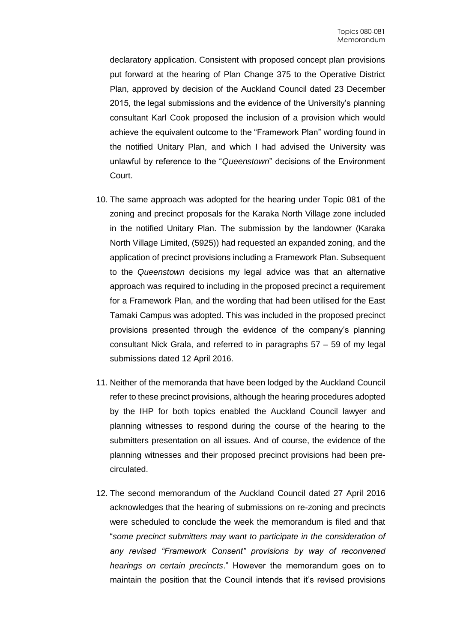declaratory application. Consistent with proposed concept plan provisions put forward at the hearing of Plan Change 375 to the Operative District Plan, approved by decision of the Auckland Council dated 23 December 2015, the legal submissions and the evidence of the University's planning consultant Karl Cook proposed the inclusion of a provision which would achieve the equivalent outcome to the "Framework Plan" wording found in the notified Unitary Plan, and which I had advised the University was unlawful by reference to the "*Queenstown*" decisions of the Environment Court.

- 10. The same approach was adopted for the hearing under Topic 081 of the zoning and precinct proposals for the Karaka North Village zone included in the notified Unitary Plan. The submission by the landowner (Karaka North Village Limited, (5925)) had requested an expanded zoning, and the application of precinct provisions including a Framework Plan. Subsequent to the *Queenstown* decisions my legal advice was that an alternative approach was required to including in the proposed precinct a requirement for a Framework Plan, and the wording that had been utilised for the East Tamaki Campus was adopted. This was included in the proposed precinct provisions presented through the evidence of the company's planning consultant Nick Grala, and referred to in paragraphs 57 – 59 of my legal submissions dated 12 April 2016.
- 11. Neither of the memoranda that have been lodged by the Auckland Council refer to these precinct provisions, although the hearing procedures adopted by the IHP for both topics enabled the Auckland Council lawyer and planning witnesses to respond during the course of the hearing to the submitters presentation on all issues. And of course, the evidence of the planning witnesses and their proposed precinct provisions had been precirculated.
- 12. The second memorandum of the Auckland Council dated 27 April 2016 acknowledges that the hearing of submissions on re-zoning and precincts were scheduled to conclude the week the memorandum is filed and that "*some precinct submitters may want to participate in the consideration of any revised "Framework Consent" provisions by way of reconvened hearings on certain precincts*." However the memorandum goes on to maintain the position that the Council intends that it's revised provisions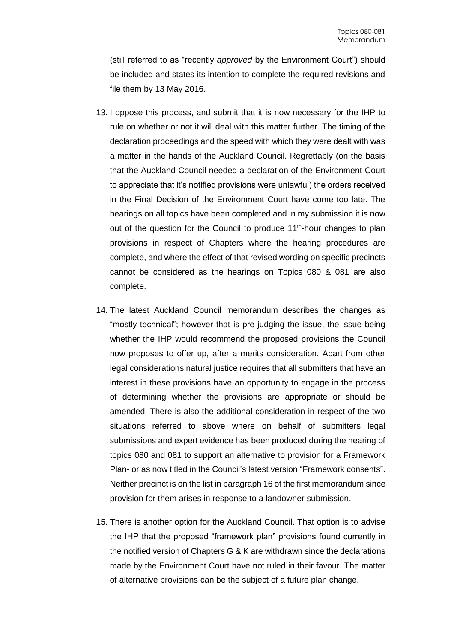(still referred to as "recently *approved* by the Environment Court") should be included and states its intention to complete the required revisions and file them by 13 May 2016.

- 13. I oppose this process, and submit that it is now necessary for the IHP to rule on whether or not it will deal with this matter further. The timing of the declaration proceedings and the speed with which they were dealt with was a matter in the hands of the Auckland Council. Regrettably (on the basis that the Auckland Council needed a declaration of the Environment Court to appreciate that it's notified provisions were unlawful) the orders received in the Final Decision of the Environment Court have come too late. The hearings on all topics have been completed and in my submission it is now out of the question for the Council to produce 11<sup>th</sup>-hour changes to plan provisions in respect of Chapters where the hearing procedures are complete, and where the effect of that revised wording on specific precincts cannot be considered as the hearings on Topics 080 & 081 are also complete.
- 14. The latest Auckland Council memorandum describes the changes as "mostly technical"; however that is pre-judging the issue, the issue being whether the IHP would recommend the proposed provisions the Council now proposes to offer up, after a merits consideration. Apart from other legal considerations natural justice requires that all submitters that have an interest in these provisions have an opportunity to engage in the process of determining whether the provisions are appropriate or should be amended. There is also the additional consideration in respect of the two situations referred to above where on behalf of submitters legal submissions and expert evidence has been produced during the hearing of topics 080 and 081 to support an alternative to provision for a Framework Plan- or as now titled in the Council's latest version "Framework consents". Neither precinct is on the list in paragraph 16 of the first memorandum since provision for them arises in response to a landowner submission.
- 15. There is another option for the Auckland Council. That option is to advise the IHP that the proposed "framework plan" provisions found currently in the notified version of Chapters G & K are withdrawn since the declarations made by the Environment Court have not ruled in their favour. The matter of alternative provisions can be the subject of a future plan change.